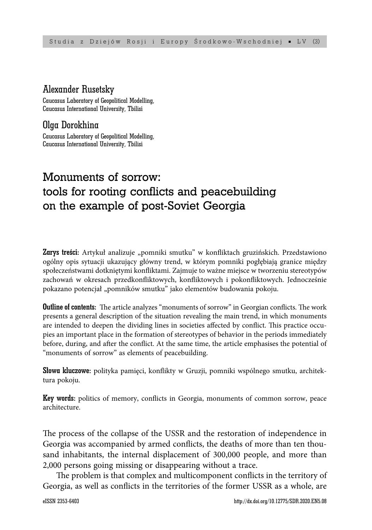#### Alexander Rusetsky

Caucasus Laboratory of Geopolitical Modelling, Caucasus International University, Tbilisi

## Olga Dorokhina

Caucasus Laboratory of Geopolitical Modelling, Caucasus International University, Tbilisi

# Monuments of sorrow: tools for rooting conflicts and peacebuilding on the example of post-Soviet Georgia

Zarys treści: Artykuł analizuje "pomniki smutku" w konfliktach gruzińskich. Przedstawiono ogólny opis sytuacji ukazujący główny trend, w którym pomniki pogłębiają granice między społeczeństwami dotkniętymi konfliktami. Zajmuje to ważne miejsce w tworzeniu stereotypów zachowań w okresach przedkonfliktowych, konfliktowych i pokonfliktowych. Jednocześnie pokazano potencjał "pomników smutku" jako elementów budowania pokoju.

**Outline of contents:** The article analyzes "monuments of sorrow" in Georgian conflicts. The work presents a general description of the situation revealing the main trend, in which monuments are intended to deepen the dividing lines in societies affected by conflict. This practice occupies an important place in the formation of stereotypes of behavior in the periods immediately before, during, and after the conflict. At the same time, the article emphasises the potential of "monuments of sorrow" as elements of peacebuilding.

**Słowa kluczowe:** polityka pamięci, konflikty w Gruzji, pomniki wspólnego smutku, architektura pokoju.

Key words: politics of memory, conflicts in Georgia, monuments of common sorrow, peace architecture.

The process of the collapse of the USSR and the restoration of independence in Georgia was accompanied by armed conflicts, the deaths of more than ten thousand inhabitants, the internal displacement of 300,000 people, and more than 2,000 persons going missing or disappearing without a trace.

The problem is that complex and multicomponent conflicts in the territory of Georgia, as well as conflicts in the territories of the former USSR as a whole, are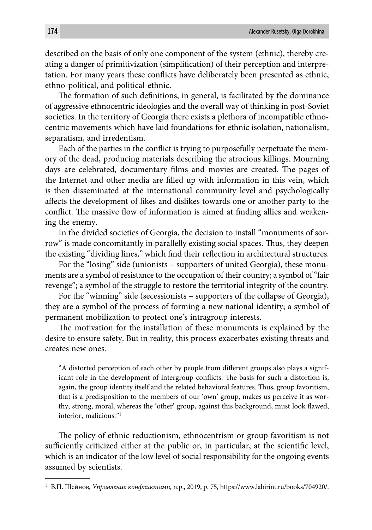described on the basis of only one component of the system (ethnic), thereby creating a danger of primitivization (simplification) of their perception and interpretation. For many years these conflicts have deliberately been presented as ethnic, ethno-political, and political-ethnic.

The formation of such definitions, in general, is facilitated by the dominance of aggressive ethnocentric ideologies and the overall way of thinking in post-Soviet societies. In the territory of Georgia there exists a plethora of incompatible ethnocentric movements which have laid foundations for ethnic isolation, nationalism, separatism, and irredentism.

Each of the parties in the conflict is trying to purposefully perpetuate the memory of the dead, producing materials describing the atrocious killings. Mourning days are celebrated, documentary films and movies are created. The pages of the Internet and other media are filled up with information in this vein, which is then disseminated at the international community level and psychologically affects the development of likes and dislikes towards one or another party to the conflict. The massive flow of information is aimed at finding allies and weakening the enemy.

In the divided societies of Georgia, the decision to install "monuments of sorrow" is made concomitantly in parallelly existing social spaces. Thus, they deepen the existing "dividing lines," which find their reflection in architectural structures.

For the "losing" side (unionists – supporters of united Georgia), these monuments are a symbol of resistance to the occupation of their country; a symbol of "fair revenge"; a symbol of the struggle to restore the territorial integrity of the country.

For the "winning" side (secessionists – supporters of the collapse of Georgia), they are a symbol of the process of forming a new national identity; a symbol of permanent mobilization to protect one's intragroup interests.

The motivation for the installation of these monuments is explained by the desire to ensure safety. But in reality, this process exacerbates existing threats and creates new ones.

"A distorted perception of each other by people from different groups also plays a significant role in the development of intergroup conflicts. The basis for such a distortion is, again, the group identity itself and the related behavioral features. Thus, group favoritism, that is a predisposition to the members of our 'own' group, makes us perceive it as worthy, strong, moral, whereas the 'other' group, against this background, must look flawed, inferior, malicious."1

The policy of ethnic reductionism, ethnocentrism or group favoritism is not sufficiently criticized either at the public or, in particular, at the scientific level, which is an indicator of the low level of social responsibility for the ongoing events assumed by scientists.

<sup>1</sup> В.П. Шейнов, *Управление конфликтами*, n.p., 2019, p. 75, https://www.labirint.ru/books/704920/.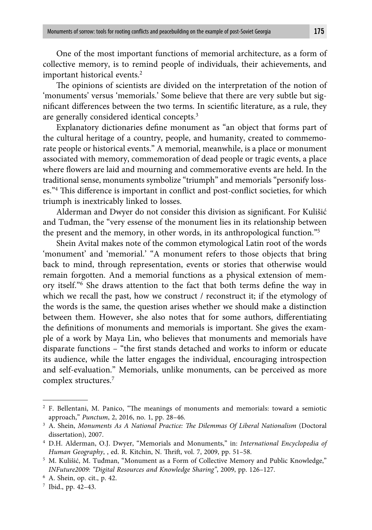One of the most important functions of memorial architecture, as a form of collective memory, is to remind people of individuals, their achievements, and important historical events.<sup>2</sup>

The opinions of scientists are divided on the interpretation of the notion of 'monuments' versus 'memorials.' Some believe that there are very subtle but significant differences between the two terms. In scientific literature, as a rule, they are generally considered identical concepts.3

Explanatory dictionaries define monument as "an object that forms part of the cultural heritage of a country, people, and humanity, created to commemorate people or historical events." A memorial, meanwhile, is a place or monument associated with memory, commemoration of dead people or tragic events, a place where flowers are laid and mourning and commemorative events are held. In the traditional sense, monuments symbolize "triumph" and memorials "personify losses."<sup>4</sup> This difference is important in conflict and post-conflict societies, for which triumph is inextricably linked to losses.

Alderman and Dwyer do not consider this division as significant. For Kulišić and Tuđman, the "very essense of the monument lies in its relationship between the present and the memory, in other words, in its anthropological function."5

Shein Avital makes note of the common etymological Latin root of the words 'monument' and 'memorial.' "A monument refers to those objects that bring back to mind, through representation, events or stories that otherwise would remain forgotten. And a memorial functions as a physical extension of memory itself."<sup>6</sup> She draws attention to the fact that both terms define the way in which we recall the past, how we construct / reconstruct it; if the etymology of the words is the same, the question arises whether we should make a distinction between them. However, she also notes that for some authors, differentiating the definitions of monuments and memorials is important. She gives the example of a work by Maya Lin, who believes that monuments and memorials have disparate functions – "the first stands detached and works to inform or educate its audience, while the latter engages the individual, encouraging introspection and self-evaluation." Memorials, unlike monuments, can be perceived as more complex structures.7

7 Ibid., pp. 42–43.

 $2$  F. Bellentani, M. Panico, "The meanings of monuments and memorials: toward a semiotic approach," *Punctum*, 2, 2016, no. 1, pp. 28–46.

<sup>&</sup>lt;sup>3</sup> A. Shein, *Monuments As A National Practice: The Dilemmas Of Liberal Nationalism* (Doctoral dissertation), 2007.

<sup>4</sup> D.H. Alderman, O.J. Dwyer, "Memorials and Monuments," in: *International Encyclopedia of Human Geography*, , ed. R. Kitchin, N. Thrift, vol. 7, 2009, pp. 51-58.

<sup>5</sup> M. Kulišić, M. Tuđman, "Monument as a Form of Collective Memory and Public Knowledge," *INFuture2009: "Digital Resources and Knowledge Sharing"*, 2009, pp. 126–127.

<sup>6</sup> A. Shein, op. cit., p. 42.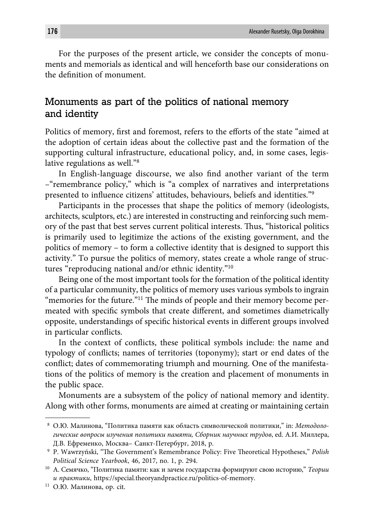For the purposes of the present article, we consider the concepts of monuments and memorials as identical and will henceforth base our considerations on the definition of monument.

## Monuments as part of the politics of national memory and identity

Politics of memory, first and foremost, refers to the efforts of the state "aimed at the adoption of certain ideas about the collective past and the formation of the supporting cultural infrastructure, educational policy, and, in some cases, legislative regulations as well."8

In English-language discourse, we also find another variant of the term –"remembrance policy," which is "a complex of narratives and interpretations presented to influence citizens' attitudes, behaviours, beliefs and identities."<sup>9</sup>

Participants in the processes that shape the politics of memory (ideologists, architects, sculptors, etc.) are interested in constructing and reinforcing such memory of the past that best serves current political interests. Thus, "historical politics" is primarily used to legitimize the actions of the existing government, and the politics of memory – to form a collective identity that is designed to support this activity." To pursue the politics of memory, states create a whole range of structures "reproducing national and/or ethnic identity."10

Being one of the most important tools for the formation of the political identity of a particular community, the politics of memory uses various symbols to ingrain "memories for the future."<sup>11</sup> The minds of people and their memory become permeated with specific symbols that create different, and sometimes diametrically opposite, understandings of specific historical events in different groups involved in particular conflicts.

In the context of conflicts, these political symbols include: the name and typology of conflicts; names of territories (toponymy); start or end dates of the conflict; dates of commemorating triumph and mourning. One of the manifestations of the politics of memory is the creation and placement of monuments in the public space.

Monuments are a subsystem of the policy of national memory and identity. Along with other forms, monuments are aimed at creating or maintaining certain

<sup>8</sup> О.Ю. Малинова, "Политика памяти как область символической политики," in: *Методологи ческие вопросы изучения политики памяти, Сборник научных трудов*, ed. А.И. Миллера, Д.В. Ефременко, Москва– Санкт-Петербург, 2018, p.

<sup>&</sup>lt;sup>9</sup> P. Wawrzyński, "The Government's Remembrance Policy: Five Theoretical Hypotheses," Polish *Political Science Yearbook*, 46, 2017, no. 1, p. 294.

<sup>10</sup> А. Семячко, "Политика памяти: как и зачем государства формируют свою историю," *Теории и практики*, https://special.theoryandpractice.ru/politics-of-memory.

<sup>&</sup>lt;sup>11</sup> О.Ю. Малинова, ор. cit.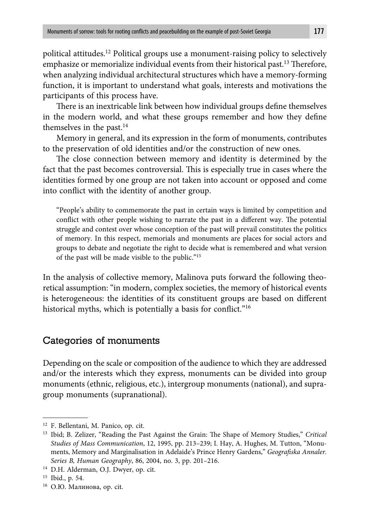political attitudes.12 Political groups use a monument-raising policy to selectively emphasize or memorialize individual events from their historical past.<sup>13</sup> Therefore, when analyzing individual architectural structures which have a memory-forming function, it is important to understand what goals, interests and motivations the participants of this process have.

There is an inextricable link between how individual groups define themselves in the modern world, and what these groups remember and how they define themselves in the past. $14$ 

Memory in general, and its expression in the form of monuments, contributes to the preservation of old identities and/or the construction of new ones.

The close connection between memory and identity is determined by the fact that the past becomes controversial. This is especially true in cases where the identities formed by one group are not taken into account or opposed and come into conflict with the identity of another group.

"People's ability to commemorate the past in certain ways is limited by competition and conflict with other people wishing to narrate the past in a different way. The potential struggle and contest over whose conception of the past will prevail constitutes the politics of memory. In this respect, memorials and monuments are places for social actors and groups to debate and negotiate the right to decide what is remembered and what version of the past will be made visible to the public."15

In the analysis of collective memory, Malinova puts forward the following theoretical assumption: "in modern, complex societies, the memory of historical events is heterogeneous: the identities of its constituent groups are based on different historical myths, which is potentially a basis for conflict." $16$ 

#### Categories of monuments

Depending on the scale or composition of the audience to which they are addressed and/or the interests which they express, monuments can be divided into group monuments (ethnic, religious, etc.), intergroup monuments (national), and supragroup monuments (supranational).

<sup>12</sup> F. Bellentani, M. Panico, op. cit.

<sup>&</sup>lt;sup>13</sup> Ibid; B. Zelizer, "Reading the Past Against the Grain: The Shape of Memory Studies," *Critical Studies of Mass Communication*, 12, 1995, pp. 213–239; I. Hay, A. Hughes, M. Tutton, "Monuments, Memory and Marginalisation in Adelaide's Prince Henry Gardens," Geografiska Annaler. *Series B, Human Geography*, 86, 2004, no. 3, pp. 201–216.

<sup>&</sup>lt;sup>14</sup> D.H. Alderman, O.J. Dwyer, op. cit.

<sup>15</sup> Ibid., p. 54.

<sup>16</sup> О.Ю. Малинова, op. cit.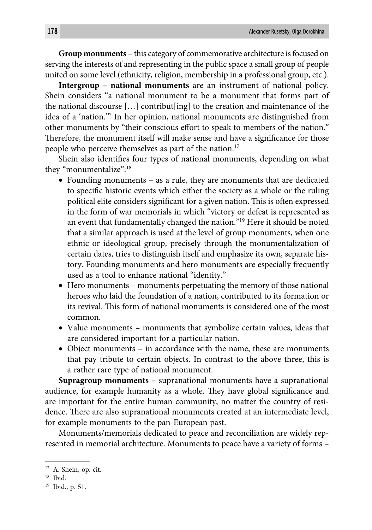**Group monuments** – this category of commemorative architecture is focused on serving the interests of and representing in the public space a small group of people united on some level (ethnicity, religion, membership in a professional group, etc.).

**Intergroup – national monuments** are an instrument of national policy. Shein considers "a national monument to be a monument that forms part of the national discourse […] contribut[ing] to the creation and maintenance of the idea of a 'nation.'" In her opinion, national monuments are distinguished from other monuments by "their conscious effort to speak to members of the nation." Therefore, the monument itself will make sense and have a significance for those people who perceive themselves as part of the nation.<sup>17</sup>

Shein also identifies four types of national monuments, depending on what they "monumentalize":<sup>18</sup>

- Founding monuments as a rule, they are monuments that are dedicated to specific historic events which either the society as a whole or the ruling political elite considers significant for a given nation. This is often expressed in the form of war memorials in which "victory or defeat is represented as an event that fundamentally changed the nation."19 Here it should be noted that a similar approach is used at the level of group monuments, when one ethnic or ideological group, precisely through the monumentalization of certain dates, tries to distinguish itself and emphasize its own, separate history. Founding monuments and hero monuments are especially frequently used as a tool to enhance national "identity."
- Hero monuments monuments perpetuating the memory of those national heroes who laid the foundation of a nation, contributed to its formation or its revival. This form of national monuments is considered one of the most common.
- Value monuments monuments that symbolize certain values, ideas that are considered important for a particular nation.
- Object monuments in accordance with the name, these are monuments that pay tribute to certain objects. In contrast to the above three, this is a rather rare type of national monument.

**Supragroup monuments –** supranational monuments have a supranational audience, for example humanity as a whole. They have global significance and are important for the entire human community, no matter the country of residence. There are also supranational monuments created at an intermediate level, for example monuments to the pan-European past.

Monuments/memorials dedicated to peace and reconciliation are widely represented in memorial architecture. Monuments to peace have a variety of forms –

<sup>&</sup>lt;sup>17</sup> A. Shein, op. cit.

<sup>18</sup> Ibid.

<sup>19</sup> Ibid., p. 51.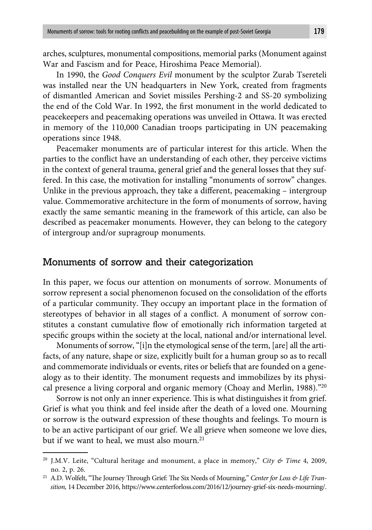arches, sculptures, monumental compositions, memorial parks (Monument against War and Fascism and for Peace, Hiroshima Peace Memorial).

In 1990, the *Good Conquers Evil* monument by the sculptor Zurab Tsereteli was installed near the UN headquarters in New York, created from fragments of dismantled American and Soviet missiles Pershing-2 and SS-20 symbolizing the end of the Cold War. In 1992, the first monument in the world dedicated to peacekeepers and peacemaking operations was unveiled in Ottawa. It was erected in memory of the 110,000 Canadian troops participating in UN peacemaking operations since 1948.

Peacemaker monuments are of particular interest for this article. When the parties to the conflict have an understanding of each other, they perceive victims in the context of general trauma, general grief and the general losses that they suffered. In this case, the motivation for installing "monuments of sorrow" changes. Unlike in the previous approach, they take a different, peacemaking  $-$  intergroup value. Commemorative architecture in the form of monuments of sorrow, having exactly the same semantic meaning in the framework of this article, can also be described as peacemaker monuments. However, they can belong to the category of intergroup and/or supragroup monuments.

#### Monuments of sorrow and their categorization

In this paper, we focus our attention on monuments of sorrow. Monuments of sorrow represent a social phenomenon focused on the consolidation of the efforts of a particular community. They occupy an important place in the formation of stereotypes of behavior in all stages of a conflict. A monument of sorrow constitutes a constant cumulative flow of emotionally rich information targeted at specific groups within the society at the local, national and/or international level.

Monuments of sorrow, "[i]n the etymological sense of the term, [are] all the artifacts, of any nature, shape or size, explicitly built for a human group so as to recall and commemorate individuals or events, rites or beliefs that are founded on a genealogy as to their identity. The monument requests and immobilizes by its physical presence a living corporal and organic memory (Choay and Merlin, 1988)."20

Sorrow is not only an inner experience. This is what distinguishes it from grief. Grief is what you think and feel inside after the death of a loved one. Mourning or sorrow is the outward expression of these thoughts and feelings. To mourn is to be an active participant of our grief. We all grieve when someone we love dies, but if we want to heal, we must also mourn. $21$ 

<sup>20</sup> J.M.V. Leite, "Cultural heritage and monument, a place in memory," *City & Time* 4, 2009, no. 2, p. 26.

<sup>&</sup>lt;sup>21</sup> A.D. Wolfelt, "The Journey Through Grief: The Six Needs of Mourning," Center for Loss & Life Tran*sition,* 14 December 2016, https://www.centerforloss.com/2016/12/journey-grief-six-needs-mourning/.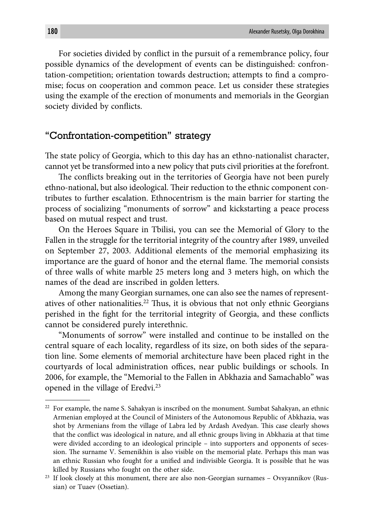For societies divided by conflict in the pursuit of a remembrance policy, four possible dynamics of the development of events can be distinguished: confrontation-competition; orientation towards destruction; attempts to find a compromise; focus on cooperation and common peace. Let us consider these strategies using the example of the erection of monuments and memorials in the Georgian society divided by conflicts.

#### "Confrontation-competition" strategy

The state policy of Georgia, which to this day has an ethno-nationalist character, cannot yet be transformed into a new policy that puts civil priorities at the forefront.

The conflicts breaking out in the territories of Georgia have not been purely ethno-national, but also ideological. Their reduction to the ethnic component contributes to further escalation. Ethnocentrism is the main barrier for starting the process of socializing "monuments of sorrow" and kickstarting a peace process based on mutual respect and trust.

On the Heroes Square in Tbilisi, you can see the Memorial of Glory to the Fallen in the struggle for the territorial integrity of the country after 1989, unveiled on September 27, 2003. Additional elements of the memorial emphasizing its importance are the guard of honor and the eternal flame. The memorial consists of three walls of white marble 25 meters long and 3 meters high, on which the names of the dead are inscribed in golden letters.

Among the many Georgian surnames, one can also see the names of representatives of other nationalities.<sup>22</sup> Thus, it is obvious that not only ethnic Georgians perished in the fight for the territorial integrity of Georgia, and these conflicts cannot be considered purely interethnic.

"Monuments of sorrow" were installed and continue to be installed on the central square of each locality, regardless of its size, on both sides of the separation line. Some elements of memorial architecture have been placed right in the courtyards of local administration offices, near public buildings or schools. In 2006, for example, the "Memorial to the Fallen in Abkhazia and Samachablo" was opened in the village of Eredvi.23

<sup>&</sup>lt;sup>22</sup> For example, the name S. Sahakyan is inscribed on the monument. Sumbat Sahakyan, an ethnic Armenian employed at the Council of Ministers of the Autonomous Republic of Abkhazia, was shot by Armenians from the village of Labra led by Ardash Avedyan. This case clearly shows that the conflict was ideological in nature, and all ethnic groups living in Abkhazia at that time were divided according to an ideological principle – into supporters and opponents of secession. The surname V. Semenikhin is also visible on the memorial plate. Perhaps this man was an ethnic Russian who fought for a unified and indivisible Georgia. It is possible that he was killed by Russians who fought on the other side.

 $23$  If look closely at this monument, there are also non-Georgian surnames – Ovsyannikov (Russian) or Tuaev (Ossetian).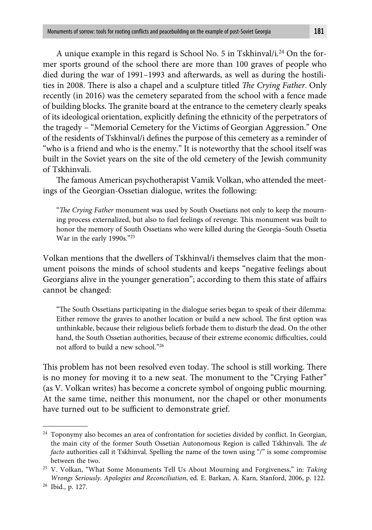A unique example in this regard is School No. 5 in Tskhinval/i.<sup>24</sup> On the former sports ground of the school there are more than 100 graves of people who died during the war of 1991-1993 and afterwards, as well as during the hostilities in 2008. There is also a chapel and a sculpture titled *The Crying Father*. Only recently (in 2016) was the cemetery separated from the school with a fence made of building blocks. The granite board at the entrance to the cemetery clearly speaks of its ideological orientation, explicitly defining the ethnicity of the perpetrators of the tragedy – "Memorial Cemetery for the Victims of Georgian Aggression." One of the residents of Tskhinval/i defines the purpose of this cemetery as a reminder of "who is a friend and who is the enemy." It is noteworthy that the school itself was built in the Soviet years on the site of the old cemetery of the Jewish community of Tskhinvali.

The famous American psychotherapist Vamik Volkan, who attended the meetings of the Georgian-Ossetian dialogue, writes the following:

*"The Crying Father* monument was used by South Ossetians not only to keep the mourning process externalized, but also to fuel feelings of revenge. This monument was built to honor the memory of South Ossetians who were killed during the Georgia–South Ossetia War in the early 1990s."25

Volkan mentions that the dwellers of Tskhinval/i themselves claim that the monument poisons the minds of school students and keeps "negative feelings about Georgians alive in the younger generation"; according to them this state of affairs cannot be changed:

"The South Ossetians participating in the dialogue series began to speak of their dilemma: Either remove the graves to another location or build a new school. The first option was unthinkable, because their religious beliefs forbade them to disturb the dead. On the other hand, the South Ossetian authorities, because of their extreme economic difficulties, could not afford to build a new school."26

This problem has not been resolved even today. The school is still working. There is no money for moving it to a new seat. The monument to the "Crying Father" (as V. Volkan writes) has become a concrete symbol of ongoing public mourning. At the same time, neither this monument, nor the chapel or other monuments have turned out to be sufficient to demonstrate grief.

<sup>&</sup>lt;sup>24</sup> Toponymy also becomes an area of confrontation for societies divided by conflict. In Georgian, the main city of the former South Ossetian Autonomous Region is called Tskhinvali. The *de facto* authorities call it Tskhinval. Spelling the name of the town using "/" is some compromise between the two.

<sup>25</sup> V. Volkan, "What Some Monuments Tell Us About Mourning and Forgiveness," in: *Taking Wrongs Seriously. Apologies and Reconciliation*, ed. E. Barkan, A. Karn, Stanford, 2006, p. 122.

<sup>26</sup> Ibid., p. 127.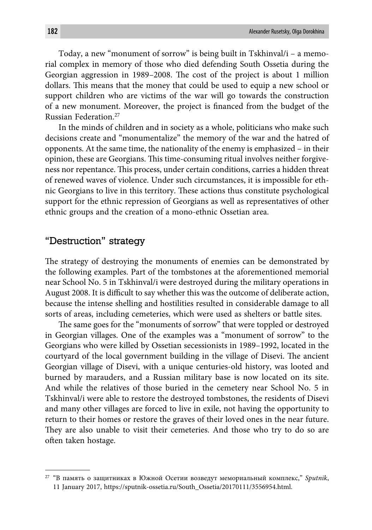Today, a new "monument of sorrow" is being built in Tskhinval/i – a memorial complex in memory of those who died defending South Ossetia during the Georgian aggression in 1989–2008. The cost of the project is about 1 million dollars. This means that the money that could be used to equip a new school or support children who are victims of the war will go towards the construction of a new monument. Moreover, the project is financed from the budget of the Russian Federation.27

In the minds of children and in society as a whole, politicians who make such decisions create and "monumentalize" the memory of the war and the hatred of opponents. At the same time, the nationality of the enemy is emphasized – in their opinion, these are Georgians. This time-consuming ritual involves neither forgiveness nor repentance. This process, under certain conditions, carries a hidden threat of renewed waves of violence. Under such circumstances, it is impossible for ethnic Georgians to live in this territory. These actions thus constitute psychological support for the ethnic repression of Georgians as well as representatives of other ethnic groups and the creation of a mono-ethnic Ossetian area.

#### "Destruction" strategy

The strategy of destroying the monuments of enemies can be demonstrated by the following examples. Part of the tombstones at the aforementioned memorial near School No. 5 in Tskhinval/i were destroyed during the military operations in August 2008. It is difficult to say whether this was the outcome of deliberate action, because the intense shelling and hostilities resulted in considerable damage to all sorts of areas, including cemeteries, which were used as shelters or battle sites.

The same goes for the "monuments of sorrow" that were toppled or destroyed in Georgian villages. One of the examples was a "monument of sorrow" to the Georgians who were killed by Ossetian secessionists in 1989–1992, located in the courtyard of the local government building in the village of Disevi. The ancient Georgian village of Disevi, with a unique centuries-old history, was looted and burned by marauders, and a Russian military base is now located on its site. And while the relatives of those buried in the cemetery near School No. 5 in Tskhinval/i were able to restore the destroyed tombstones, the residents of Disevi and many other villages are forced to live in exile, not having the opportunity to return to their homes or restore the graves of their loved ones in the near future. They are also unable to visit their cemeteries. And those who try to do so are often taken hostage.

<sup>27 &</sup>quot;В память о защитниках в Южной Осетии возведут мемориальный комплекс," *Sputnik*, 11 January 2017, https://sputnik-ossetia.ru/South\_Ossetia/20170111/3556954.html.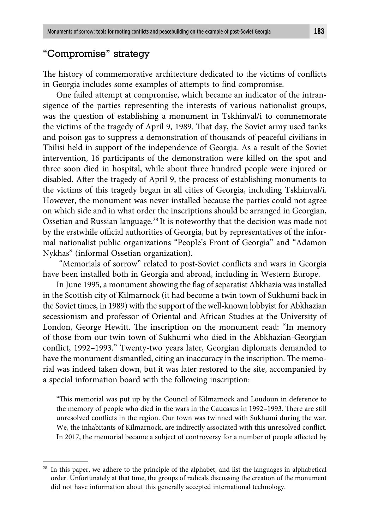## "Compromise" strategy

The history of commemorative architecture dedicated to the victims of conflicts in Georgia includes some examples of attempts to find compromise.

One failed attempt at compromise, which became an indicator of the intransigence of the parties representing the interests of various nationalist groups, was the question of establishing a monument in Tskhinval/i to commemorate the victims of the tragedy of April 9, 1989. That day, the Soviet army used tanks and poison gas to suppress a demonstration of thousands of peaceful civilians in Tbilisi held in support of the independence of Georgia. As a result of the Soviet intervention, 16 participants of the demonstration were killed on the spot and three soon died in hospital, while about three hundred people were injured or disabled. After the tragedy of April 9, the process of establishing monuments to the victims of this tragedy began in all cities of Georgia, including Tskhinval/i. However, the monument was never installed because the parties could not agree on which side and in what order the inscriptions should be arranged in Georgian, Ossetian and Russian language.<sup>28</sup> It is noteworthy that the decision was made not by the erstwhile official authorities of Georgia, but by representatives of the informal nationalist public organizations "People's Front of Georgia" and "Adamon Nykhas" (informal Ossetian organization).

"Memorials of sorrow" related to post-Soviet conflicts and wars in Georgia have been installed both in Georgia and abroad, including in Western Europe.

In June 1995, a monument showing the flag of separatist Abkhazia was installed in the Scottish city of Kilmarnock (it had become a twin town of Sukhumi back in the Soviet times, in 1989) with the support of the well-known lobbyist for Abkhazian secessionism and professor of Oriental and African Studies at the University of London, George Hewitt. The inscription on the monument read: "In memory of those from our twin town of Sukhumi who died in the Abkhazian-Georgian conflict, 1992–1993." Twenty-two years later, Georgian diplomats demanded to have the monument dismantled, citing an inaccuracy in the inscription. The memorial was indeed taken down, but it was later restored to the site, accompanied by a special information board with the following inscription:

"This memorial was put up by the Council of Kilmarnock and Loudoun in deference to the memory of people who died in the wars in the Caucasus in 1992–1993. There are still unresolved conflicts in the region. Our town was twinned with Sukhumi during the war. We, the inhabitants of Kilmarnock, are indirectly associated with this unresolved conflict. In 2017, the memorial became a subject of controversy for a number of people affected by

<sup>&</sup>lt;sup>28</sup> In this paper, we adhere to the principle of the alphabet, and list the languages in alphabetical order. Unfortunately at that time, the groups of radicals discussing the creation of the monument did not have information about this generally accepted international technology.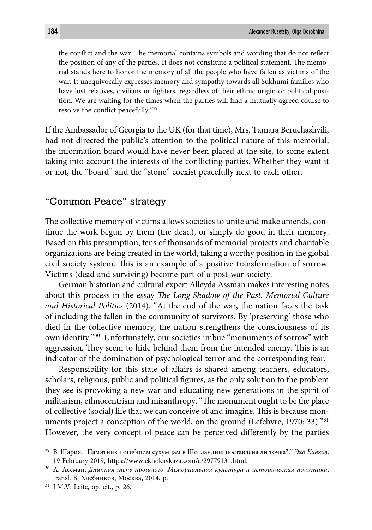the conflict and the war. The memorial contains symbols and wording that do not reflect the position of any of the parties. It does not constitute a political statement. The memorial stands here to honor the memory of all the people who have fallen as victims of the war. It unequivocally expresses memory and sympathy towards all Sukhumi families who have lost relatives, civilians or fighters, regardless of their ethnic origin or political position. We are waiting for the times when the parties will find a mutually agreed course to resolve the conflict peacefully."<sup>29</sup>

If the Ambassador of Georgia to the UK (for that time), Mrs. Tamara Beruchashvili, had not directed the public's attention to the political nature of this memorial, the information board would have never been placed at the site, to some extent taking into account the interests of the conflicting parties. Whether they want it or not, the "board" and the "stone" coexist peacefully next to each other.

#### "Common Peace" strategy

The collective memory of victims allows societies to unite and make amends, continue the work begun by them (the dead), or simply do good in their memory. Based on this presumption, tens of thousands of memorial projects and charitable organizations are being created in the world, taking a worthy position in the global civil society system. This is an example of a positive transformation of sorrow. Victims (dead and surviving) become part of a post-war society.

German historian and cultural expert Alleyda Assman makes interesting notes about this process in the essay *The Long Shadow of the Past: Memorial Culture and Historical Politics* (2014). "At the end of the war, the nation faces the task of including the fallen in the community of survivors. By 'preserving' those who died in the collective memory, the nation strengthens the consciousness of its own identity."30 Unfortunately, our societies imbue "monuments of sorrow" with aggression. They seem to hide behind them from the intended enemy. This is an indicator of the domination of psychological terror and the corresponding fear.

Responsibility for this state of affairs is shared among teachers, educators, scholars, religious, public and political figures, as the only solution to the problem they see is provoking a new war and educating new generations in the spirit of militarism, ethnocentrism and misanthropy. "The monument ought to be the place of collective (social) life that we can conceive of and imagine. This is because monuments project a conception of the world, on the ground (Lefebvre, 1970: 33)."<sup>31</sup> However, the very concept of peace can be perceived differently by the parties

<sup>29</sup> B. Шария, "Памятник погибшим сухумцам в Шотландии: поставлена ли точка?," *Эхо Кавказ*, 19 February 2019, https://www.ekhokavkaza.com/a/29779131.html.

<sup>30</sup> A. Ассман, *Длинная тень прошлого. Мемориальная культура и историческая политика*, transl. Б. Хлебников, Москва, 2014, p.

<sup>31</sup> J.M.V. Leite, op. cit., p. 26.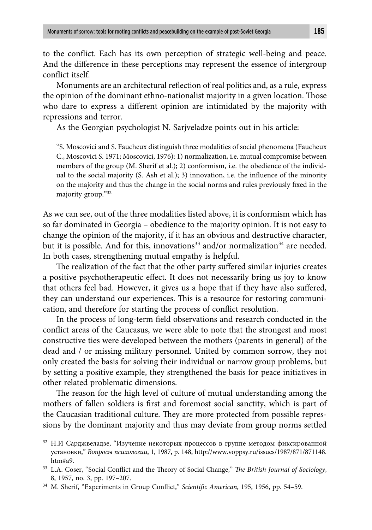to the conflict. Each has its own perception of strategic well-being and peace. And the difference in these perceptions may represent the essence of intergroup conflict itself

Monuments are an architectural reflection of real politics and, as a rule, express the opinion of the dominant ethno-nationalist majority in a given location. Those who dare to express a different opinion are intimidated by the majority with repressions and terror.

As the Georgian psychologist N. Sarjveladze points out in his article:

"S. Moscovici and S. Faucheux distinguish three modalities of social phenomena (Faucheux С., Moscovici S. 1971; Moscovici, 1976): 1) normalization, i.e. mutual compromise between members of the group (M. Sherif et al.); 2) conformism, i.e. the obedience of the individual to the social majority  $(S.$  Ash et al.); 3) innovation, i.e. the influence of the minority on the majority and thus the change in the social norms and rules previously fixed in the majority group."32

As we can see, out of the three modalities listed above, it is conformism which has so far dominated in Georgia – obedience to the majority opinion. It is not easy to change the opinion of the majority, if it has an obvious and destructive character, but it is possible. And for this, innovations<sup>33</sup> and/or normalization<sup>34</sup> are needed. In both cases, strengthening mutual empathy is helpful.

The realization of the fact that the other party suffered similar injuries creates a positive psychotherapeutic effect. It does not necessarily bring us joy to know that others feel bad. However, it gives us a hope that if they have also suffered, they can understand our experiences. This is a resource for restoring communication, and therefore for starting the process of conflict resolution.

In the process of long-term field observations and research conducted in the conflict areas of the Caucasus, we were able to note that the strongest and most constructive ties were developed between the mothers (parents in general) of the dead and / or missing military personnel. United by common sorrow, they not only created the basis for solving their individual or narrow group problems, but by setting a positive example, they strengthened the basis for peace initiatives in other related problematic dimensions.

The reason for the high level of culture of mutual understanding among the mothers of fallen soldiers is first and foremost social sanctity, which is part of the Caucasian traditional culture. They are more protected from possible repressions by the dominant majority and thus may deviate from group norms settled

<sup>32</sup> Н.И Сарджвеладзе, "Изучение некоторых процессов в группе методом фиксированной установки," *Вопросы психологии*, 1, 1987, p. 148, http://www.voppsy.ru/issues/1987/871/871148. htm#a9.

<sup>&</sup>lt;sup>33</sup> L.A. Coser, "Social Conflict and the Theory of Social Change," *The British Journal of Sociology*, 8, 1957, no. 3, pp. 197–207.

<sup>&</sup>lt;sup>34</sup> M. Sherif, "Experiments in Group Conflict," Scientific American, 195, 1956, pp. 54-59.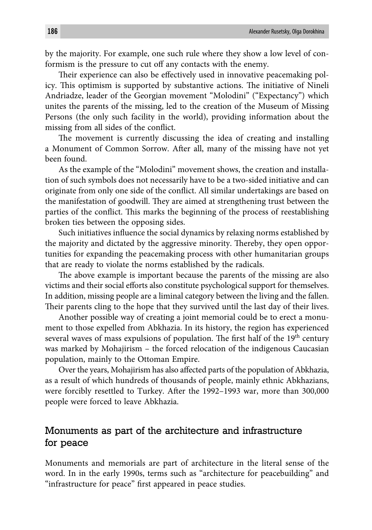by the majority. For example, one such rule where they show a low level of conformism is the pressure to cut off any contacts with the enemy.

Their experience can also be effectively used in innovative peacemaking policy. This optimism is supported by substantive actions. The initiative of Nineli Andriadze, leader of the Georgian movement "Molodini" ("Expectancy") which unites the parents of the missing, led to the creation of the Museum of Missing Persons (the only such facility in the world), providing information about the missing from all sides of the conflict.

The movement is currently discussing the idea of creating and installing a Monument of Common Sorrow. After all, many of the missing have not yet been found.

As the example of the "Molodini" movement shows, the creation and installation of such symbols does not necessarily have to be a two-sided initiative and can originate from only one side of the conflict. All similar undertakings are based on the manifestation of goodwill. They are aimed at strengthening trust between the parties of the conflict. This marks the beginning of the process of reestablishing broken ties between the opposing sides.

Such initiatives influence the social dynamics by relaxing norms established by the majority and dictated by the aggressive minority. Thereby, they open opportunities for expanding the peacemaking process with other humanitarian groups that are ready to violate the norms established by the radicals.

The above example is important because the parents of the missing are also victims and their social efforts also constitute psychological support for themselves. In addition, missing people are a liminal category between the living and the fallen. Their parents cling to the hope that they survived until the last day of their lives.

Another possible way of creating a joint memorial could be to erect a monument to those expelled from Abkhazia. In its history, the region has experienced several waves of mass expulsions of population. The first half of the  $19<sup>th</sup>$  century was marked by Mohajirism – the forced relocation of the indigenous Caucasian population, mainly to the Ottoman Empire.

Over the years, Mohajirism has also affected parts of the population of Abkhazia, as a result of which hundreds of thousands of people, mainly ethnic Abkhazians, were forcibly resettled to Turkey. After the 1992-1993 war, more than 300,000 people were forced to leave Abkhazia.

### Monuments as part of the architecture and infrastructure for peace

Monuments and memorials are part of architecture in the literal sense of the word. In in the early 1990s, terms such as "architecture for peacebuilding" and "infrastructure for peace" first appeared in peace studies.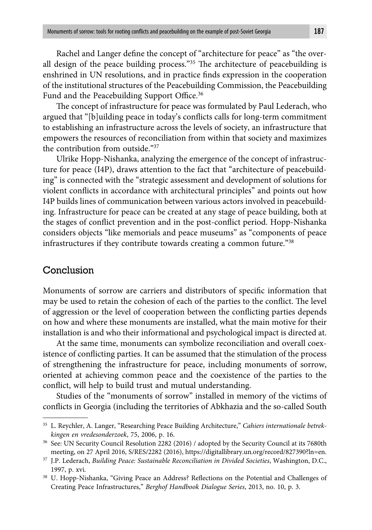Rachel and Langer define the concept of "architecture for peace" as "the overall design of the peace building process." $35$  The architecture of peacebuilding is enshrined in UN resolutions, and in practice finds expression in the cooperation of the institutional structures of the Peacebuilding Commission, the Peacebuilding Fund and the Peacebuilding Support Office.<sup>36</sup>

The concept of infrastructure for peace was formulated by Paul Lederach, who argued that "[b]uilding peace in today's conflicts calls for long-term commitment to establishing an infrastructure across the levels of society, an infrastructure that empowers the resources of reconciliation from within that society and maximizes the contribution from outside."37

Ulrike Hopp-Nishanka, analyzing the emergence of the concept of infrastructure for peace (I4P), draws attention to the fact that "architecture of peacebuilding" is connected with the "strategic assessment and development of solutions for violent conflicts in accordance with architectural principles" and points out how I4P builds lines of communication between various actors involved in peacebuilding. Infrastructure for peace can be created at any stage of peace building, both at the stages of conflict prevention and in the post-conflict period. Hopp-Nishanka considers objects "like memorials and peace museums" as "components of peace infrastructures if they contribute towards creating a common future."38

#### Conclusion

Monuments of sorrow are carriers and distributors of specific information that may be used to retain the cohesion of each of the parties to the conflict. The level of aggression or the level of cooperation between the conflicting parties depends on how and where these monuments are installed, what the main motive for their installation is and who their informational and psychological impact is directed at.

At the same time, monuments can symbolize reconciliation and overall coexistence of conflicting parties. It can be assumed that the stimulation of the process of strengthening the infrastructure for peace, including monuments of sorrow, oriented at achieving common peace and the coexistence of the parties to the conflict, will help to build trust and mutual understanding.

Studies of the "monuments of sorrow" installed in memory of the victims of conflicts in Georgia (including the territories of Abkhazia and the so-called South

<sup>35</sup> L. Reychler, A. Langer, "Researching Peace Building Architecture," *Cahiers internationale betrekkingen en vredesonderzoek*, 75, 2006, p. 16.

<sup>36</sup> See: UN Security Council Resolution 2282 (2016) / adopted by the Security Council at its 7680th meeting, on 27 April 2016, S/RES/2282 (2016), https://digitallibrary.un.org/record/827390?ln=en.

<sup>37</sup> J.P. Lederach, *Building Peace: Sustainable Reconciliation in Divided Societies*, Washington, D.C., 1997, p. xvi.

<sup>&</sup>lt;sup>38</sup> U. Hopp-Nishanka, "Giving Peace an Address? Reflections on the Potential and Challenges of Creating Peace Infrastructures," *Berghof Handbook Dialogue Series*, 2013, no. 10, p. 3.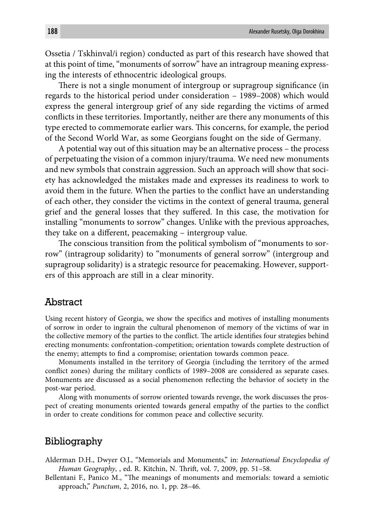Ossetia / Tskhinval/i region) conducted as part of this research have showed that at this point of time, "monuments of sorrow" have an intragroup meaning expressing the interests of ethnocentric ideological groups.

There is not a single monument of intergroup or supragroup significance (in regards to the historical period under consideration – 1989–2008) which would express the general intergroup grief of any side regarding the victims of armed conflicts in these territories. Importantly, neither are there any monuments of this type erected to commemorate earlier wars. This concerns, for example, the period of the Second World War, as some Georgians fought on the side of Germany.

A potential way out of this situation may be an alternative process – the process of perpetuating the vision of a common injury/trauma. We need new monuments and new symbols that constrain aggression. Such an approach will show that society has acknowledged the mistakes made and expresses its readiness to work to avoid them in the future. When the parties to the conflict have an understanding of each other, they consider the victims in the context of general trauma, general grief and the general losses that they suffered. In this case, the motivation for installing "monuments to sorrow" changes. Unlike with the previous approaches, they take on a different, peacemaking – intergroup value.

The conscious transition from the political symbolism of "monuments to sorrow" (intragroup solidarity) to "monuments of general sorrow" (intergroup and supragroup solidarity) is a strategic resource for peacemaking. However, supporters of this approach are still in a clear minority.

#### **Abstract**

Using recent history of Georgia, we show the specifics and motives of installing monuments of sorrow in order to ingrain the cultural phenomenon of memory of the victims of war in the collective memory of the parties to the conflict. The article identifies four strategies behind erecting monuments: confrontation-competition; orientation towards complete destruction of the enemy; attempts to find a compromise; orientation towards common peace.

Monuments installed in the territory of Georgia (including the territory of the armed conflict zones) during the military conflicts of 1989–2008 are considered as separate cases. Monuments are discussed as a social phenomenon reflecting the behavior of society in the post-war period.

Along with monuments of sorrow oriented towards revenge, the work discusses the prospect of creating monuments oriented towards general empathy of the parties to the conflict in order to create conditions for common peace and collective security.

#### Bibliography

Alderman D.H., Dwyer O.J., "Memorials and Monuments," in: *International Encyclopedia of Human Geography*, , ed. R. Kitchin, N. Thrift, vol. 7, 2009, pp. 51-58.

Bellentani F., Panico M., "The meanings of monuments and memorials: toward a semiotic approach," *Punctum*, 2, 2016, no. 1, pp. 28–46.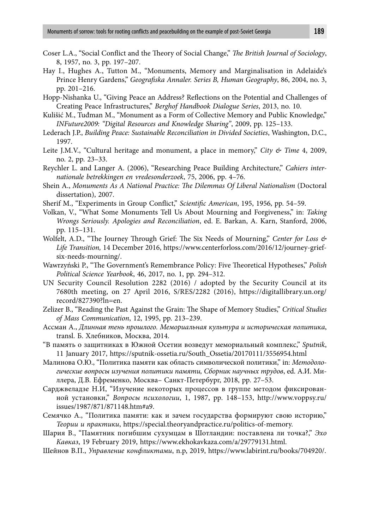- Coser L.A., "Social Conflict and the Theory of Social Change," *The British Journal of Sociology*, 8, 1957, no. 3, pp. 197–207.
- Hay I., Hughes A., Tutton M., "Monuments, Memory and Marginalisation in Adelaide's Prince Henry Gardens," *Geografiska Annaler. Series B, Human Geography*, 86, 2004, no. 3, pp. 201–216.
- Hopp-Nishanka U., "Giving Peace an Address? Reflections on the Potential and Challenges of Creating Peace Infrastructures," *Berghof Handbook Dialogue Series*, 2013, no. 10.
- Kulišić M., Tuđman M., "Monument as a Form of Collective Memory and Public Knowledge," *INFuture2009: "Digital Resources and Knowledge Sharing"*, 2009, pp. 125–133.
- Lederach J.P., *Building Peace: Sustainable Reconciliation in Divided Societies*, Washington, D.C., 1997.
- Leite J.M.V., "Cultural heritage and monument, a place in memory," *City & Time* 4, 2009, no. 2, pp. 23–33.
- Reychler L. and Langer A. (2006), "Researching Peace Building Architecture," *Cahiers internationale betrekkingen en vredesonderzoek*, 75, 2006, pp. 4–76.
- Shein A., *Monuments As A National Practice: The Dilemmas Of Liberal Nationalism* (Doctoral dissertation), 2007.
- Sherif M., "Experiments in Group Conflict," *Scientific American*, 195, 1956, pp. 54–59.
- Volkan, V., "What Some Monuments Tell Us About Mourning and Forgiveness," in: *Taking Wrongs Seriously. Apologies and Reconciliation*, ed. E. Barkan, A. Karn, Stanford, 2006, pp. 115–131.
- Wolfelt, A.D., "The Journey Through Grief: The Six Needs of Mourning," *Center for Loss & Life Transition,* 14 December 2016, https://www.centerforloss.com/2016/12/journey-griefsix-needs-mourning/.
- Wawrzyński P., "The Government's Remembrance Policy: Five Theoretical Hypotheses," *Polish Political Science Yearbook*, 46, 2017, no. 1, pp. 294–312.
- UN Security Council Resolution 2282 (2016) / adopted by the Security Council at its 7680th meeting, on 27 April 2016, S/RES/2282 (2016), https://digitallibrary.un.org/ record/827390?ln=en.
- Zelizer B., "Reading the Past Against the Grain: The Shape of Memory Studies," *Critical Studies of Mass Communication*, 12, 1995, pp. 213–239.
- Ассман A., *Длинная тень прошлого. Мемориальная культура и историческая политика*, transl. Б. Хлебников, Москва, 2014.
- "В память о защитниках в Южной Осетии возведут мемориальный комплекс," *Sputnik*, 11 January 2017, https://sputnik-ossetia.ru/South\_Ossetia/20170111/3556954.html
- Малинова О.Ю., "Политика памяти как область символической политики," in: *Методологические вопросы изучения политики памяти, Сборник научных трудов*, ed. А.И. Ми ллера, Д.В. Ефременко, Москва– Санкт-Петербург, 2018, pp. 27–53.
- Сарджвеладзе Н.И, "Изучение некоторых процессов в группе методом фиксированной установки," *Вопросы психологии*, 1, 1987, pp. 148–153, http://www.voppsy.ru/ issues/1987/871/871148.htm#a9.
- Семячко А., "Политика памяти: как и зачем государства формируют свою историю," *Теории и практики*, https://special.theoryandpractice.ru/politics-of-memory.
- Шария В., "Памятник погибшим сухумцам в Шотландии: поставлена ли точка?," *Эхо Кавказ*, 19 February 2019, https://www.ekhokavkaza.com/a/29779131.html.
- Шейнов В.П., *Управление конфликтами*, n.p, 2019, https://www.labirint.ru/books/704920/.